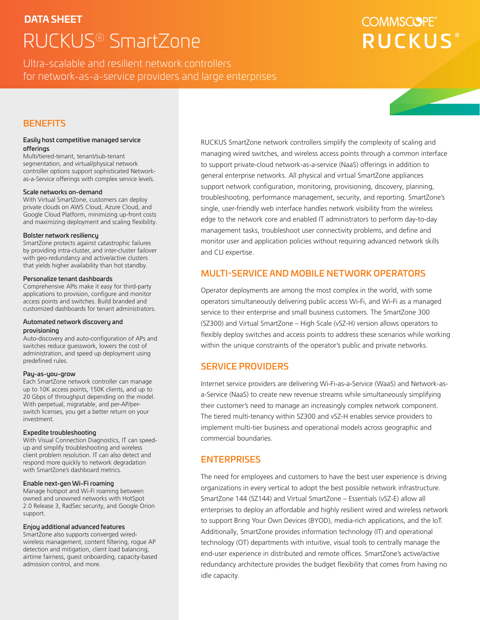# **DATA SHEET** RUCKUS® SmartZone

# **COMMSCOPE RUCKUS**

Ultra-scalable and resilient network controllers for network-as-a-service providers and large enterprises

# **BENEFITS**

#### Easily host competitive managed service offerings

Multi/tiered-tenant, tenant/sub-tenant segmentation, and virtual/physical network controller options support sophisticated Networkas-a-Service offerings with complex service levels.

#### Scale networks on-demand

With Virtual SmartZone, customers can deploy private clouds on AWS Cloud, Azure Cloud, and Google Cloud Platform, minimizing up-front costs and maximizing deployment and scaling flexibility.

#### Bolster network resiliency

SmartZone protects against catastrophic failures by providing intra-cluster, and inter-cluster failover with geo-redundancy and active/active clusters that yields higher availability than hot standby.

#### Personalize tenant dashboards

Comprehensive APIs make it easy for third-party applications to provision, configure and monitor access points and switches. Build branded and customized dashboards for tenant administrators.

#### Automated network discovery and provisioning

Auto-discovery and auto-configuration of APs and switches reduce guesswork, lowers the cost of administration, and speed up deployment using predefined rules.

#### Pay-as-you-grow

Each SmartZone network controller can manage up to 10K access points, 150K clients, and up to 20 Gbps of throughput depending on the model. With perpetual, migratable, and per-AP/perswitch licenses, you get a better return on your investment.

#### Expedite troubleshooting

With Visual Connection Diagnostics, IT can speedup and simplify troubleshooting and wireless client problem resolution. IT can also detect and respond more quickly to network degradation with SmartZone's dashboard metrics.

### Enable next-gen Wi-Fi roaming

Manage hotspot and Wi-Fi roaming between owned and unowned networks with HotSpot 2.0 Release 3, RadSec security, and Google Orion support.

#### Enjoy additional advanced features

SmartZone also supports converged wiredwireless management, content filtering, rogue AP detection and mitigation, client load balancing, airtime fairness, guest onboarding, capacity-based admission control, and more.

RUCKUS SmartZone network controllers simplify the complexity of scaling and managing wired switches, and wireless access points through a common interface to support private-cloud network-as-a-service (NaaS) offerings in addition to general enterprise networks. All physical and virtual SmartZone appliances support network configuration, monitoring, provisioning, discovery, planning, troubleshooting, performance management, security, and reporting. SmartZone's single, user-friendly web interface handles network visibility from the wireless edge to the network core and enabled IT administrators to perform day-to-day management tasks, troubleshoot user connectivity problems, and define and monitor user and application policies without requiring advanced network skills and CLI expertise.

# MULTI-SERVICE AND MOBILE NETWORK OPERATORS

Operator deployments are among the most complex in the world, with some operators simultaneously delivering public access Wi-Fi, and Wi-Fi as a managed service to their enterprise and small business customers. The SmartZone 300 (SZ300) and Virtual SmartZone – High Scale (vSZ-H) version allows operators to flexibly deploy switches and access points to address these scenarios while working within the unique constraints of the operator's public and private networks.

# SERVICE PROVIDERS

Internet service providers are delivering Wi-Fi-as-a-Service (WaaS) and Network-asa-Service (NaaS) to create new revenue streams while simultaneously simplifying their customer's need to manage an increasingly complex network component. The tiered multi-tenancy within SZ300 and vSZ-H enables service providers to implement multi-tier business and operational models across geographic and commercial boundaries.

# **ENTERPRISES**

The need for employees and customers to have the best user experience is driving organizations in every vertical to adopt the best possible network infrastructure. SmartZone 144 (SZ144) and Virtual SmartZone – Essentials (vSZ-E) allow all enterprises to deploy an affordable and highly resilient wired and wireless network to support Bring Your Own Devices (BYOD), media-rich applications, and the IoT. Additionally, SmartZone provides information technology (IT) and operational technology (OT) departments with intuitive, visual tools to centrally manage the end-user experience in distributed and remote offices. SmartZone's active/active redundancy architecture provides the budget flexibility that comes from having no idle capacity.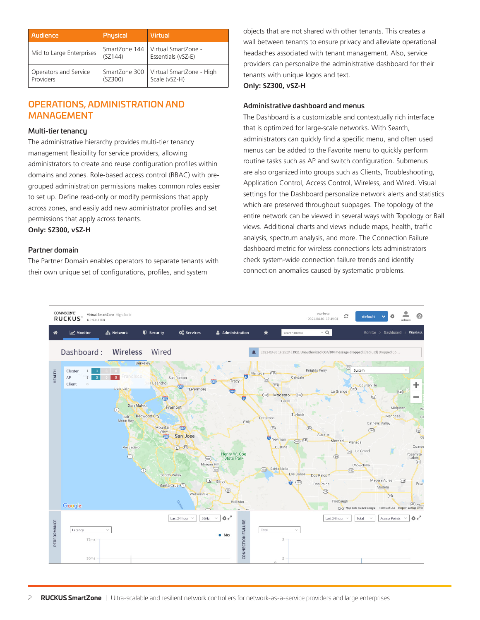| Audience                           | Physical                 | <b>Virtual</b>                                            |
|------------------------------------|--------------------------|-----------------------------------------------------------|
| Mid to Large Enterprises           | (SZ144)                  | SmartZone 144   Virtual SmartZone -<br>Essentials (vSZ-E) |
| Operators and Service<br>Providers | SmartZone 300<br>(SZ300) | Virtual SmartZone - High<br>Scale (vSZ-H)                 |

# OPERATIONS, ADMINISTRATION AND MANAGEMENT

## Multi-tier tenancy

The administrative hierarchy provides multi-tier tenancy management flexibility for service providers, allowing administrators to create and reuse configuration profiles within domains and zones. Role-based access control (RBAC) with pregrouped administration permissions makes common roles easier to set up. Define read-only or modify permissions that apply across zones, and easily add new administrator profiles and set permissions that apply across tenants.

**Only: SZ300, vSZ-H**

# Partner domain

The Partner Domain enables operators to separate tenants with their own unique set of configurations, profiles, and system

objects that are not shared with other tenants. This creates a wall between tenants to ensure privacy and alleviate operational headaches associated with tenant management. Also, service providers can personalize the administrative dashboard for their tenants with unique logos and text.

**Only: SZ300, vSZ-H**

# Administrative dashboard and menus

The Dashboard is a customizable and contextually rich interface that is optimized for large-scale networks. With Search, administrators can quickly find a specific menu, and often used menus can be added to the Favorite menu to quickly perform routine tasks such as AP and switch configuration. Submenus are also organized into groups such as Clients, Troubleshooting, Application Control, Access Control, Wireless, and Wired. Visual settings for the Dashboard personalize network alerts and statistics which are preserved throughout subpages. The topology of the entire network can be viewed in several ways with Topology or Ball views. Additional charts and views include maps, health, traffic analysis, spectrum analysis, and more. The Connection Failure dashboard metric for wireless connections lets administrators check system-wide connection failure trends and identify connection anomalies caused by systematic problems.

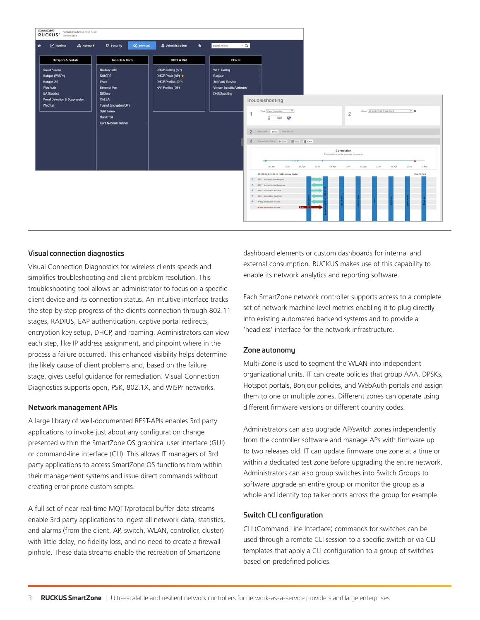

### Visual connection diagnostics

Visual Connection Diagnostics for wireless clients speeds and simplifies troubleshooting and client problem resolution. This troubleshooting tool allows an administrator to focus on a specific client device and its connection status. An intuitive interface tracks the step-by-step progress of the client's connection through 802.11 stages, RADIUS, EAP authentication, captive portal redirects, encryption key setup, DHCP, and roaming. Administrators can view each step, like IP address assignment, and pinpoint where in the process a failure occurred. This enhanced visibility helps determine the likely cause of client problems and, based on the failure stage, gives useful guidance for remediation. Visual Connection Diagnostics supports open, PSK, 802.1X, and WISPr networks.

### Network management APIs

A large library of well-documented REST-APIs enables 3rd party applications to invoke just about any configuration change presented within the SmartZone OS graphical user interface (GUI) or command-line interface (CLI). This allows IT managers of 3rd party applications to access SmartZone OS functions from within their management systems and issue direct commands without creating error-prone custom scripts.

A full set of near real-time MQTT/protocol buffer data streams enable 3rd party applications to ingest all network data, statistics, and alarms (from the client, AP, switch, WLAN, controller, cluster) with little delay, no fidelity loss, and no need to create a firewall pinhole. These data streams enable the recreation of SmartZone

dashboard elements or custom dashboards for internal and external consumption. RUCKUS makes use of this capability to enable its network analytics and reporting software.

Each SmartZone network controller supports access to a complete set of network machine-level metrics enabling it to plug directly into existing automated backend systems and to provide a 'headless' interface for the network infrastructure.

### Zone autonomy

Multi-Zone is used to segment the WLAN into independent organizational units. IT can create policies that group AAA, DPSKs, Hotspot portals, Bonjour policies, and WebAuth portals and assign them to one or multiple zones. Different zones can operate using different firmware versions or different country codes.

Administrators can also upgrade AP/switch zones independently from the controller software and manage APs with firmware up to two releases old. IT can update firmware one zone at a time or within a dedicated test zone before upgrading the entire network. Administrators can also group switches into Switch Groups to software upgrade an entire group or monitor the group as a whole and identify top talker ports across the group for example.

### Switch CLI configuration

CLI (Command Line Interface) commands for switches can be used through a remote CLI session to a specific switch or via CLI templates that apply a CLI configuration to a group of switches based on predefined policies.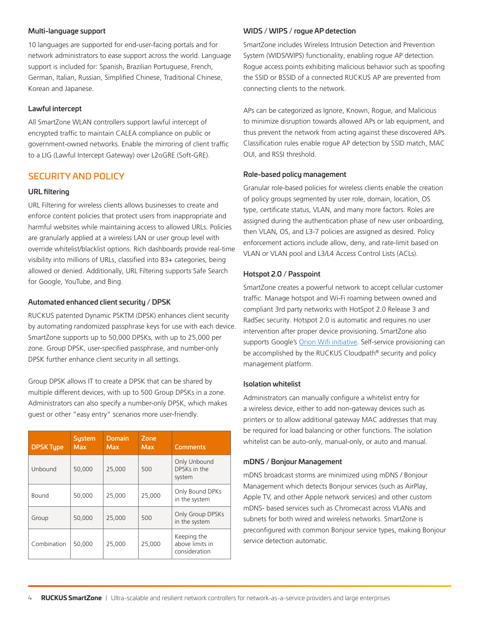### Multi-language support

10 languages are supported for end-user-facing portals and for network administrators to ease support across the world. Language support is included for: Spanish, Brazilian Portuguese, French, German, Italian, Russian, Simplified Chinese, Traditional Chinese, Korean and Japanese.

#### Lawful intercept

All SmartZone WLAN controllers support lawful intercept of encrypted traffic to maintain CALEA compliance on public or government-owned networks. Enable the mirroring of client traffic to a LIG (Lawful Intercept Gateway) over L2oGRE (Soft-GRE).

# SECURITY AND POLICY

#### URL filtering

URL Filtering for wireless clients allows businesses to create and enforce content policies that protect users from inappropriate and harmful websites while maintaining access to allowed URLs. Policies are granularly applied at a wireless LAN or user group level with override whitelist/blacklist options. Rich dashboards provide real-time visibility into millions of URLs, classified into 83+ categories, being allowed or denied. Additionally, URL Filtering supports Safe Search for Google, YouTube, and Bing.

#### Automated enhanced client security / DPSK

RUCKUS patented Dynamic PSKTM (DPSK) enhances client security by automating randomized passphrase keys for use with each device. SmartZone supports up to 50,000 DPSKs, with up to 25,000 per zone. Group DPSK, user-specified passphrase, and number-only DPSK further enhance client security in all settings.

Group DPSK allows IT to create a DPSK that can be shared by multiple different devices, with up to 500 Group DPSKs in a zone. Administrators can also specify a number-only DPSK, which makes guest or other "easy entry" scenarios more user-friendly.

| <b>DPSK Tupe</b> | <b>Sustem</b><br><b>Max</b> | Domain<br><b>Max</b> | Zone<br><b>Max</b> | <b>Comments</b>                                 |
|------------------|-----------------------------|----------------------|--------------------|-------------------------------------------------|
| Unbound          | 50,000                      | 25,000               | 500                | Only Unbound<br>DPSKs in the<br>system          |
| Bound            | 50,000                      | 25,000               | 25.000             | Only Bound DPKs<br>in the system                |
| Group            | 50,000                      | 25,000               | 500                | Only Group DPSKs<br>in the system               |
| Combination      | 50,000                      | 25,000               | 25.000             | Keeping the<br>above limits in<br>consideration |

#### WIDS / WIPS / rogue AP detection

SmartZone includes Wireless Intrusion Detection and Prevention System (WIDS/WIPS) functionality, enabling rogue AP detection. Rogue access points exhibiting malicious behavior such as spoofing the SSID or BSSID of a connected RUCKUS AP are prevented from connecting clients to the network.

APs can be categorized as Ignore, Known, Rogue, and Malicious to minimize disruption towards allowed APs or lab equipment, and thus prevent the network from acting against these discovered APs. Classification rules enable rogue AP detection by SSID match, MAC OUI, and RSSI threshold.

#### Role-based policy management

Granular role-based policies for wireless clients enable the creation of policy groups segmented by user role, domain, location, OS type, certificate status, VLAN, and many more factors. Roles are assigned during the authentication phase of new user onboarding, then VLAN, OS, and L3-7 policies are assigned as desired. Policy enforcement actions include allow, deny, and rate-limit based on VLAN or VLAN pool and L3/L4 Access Control Lists (ACLs).

#### Hotspot 2.0 / Passpoint

SmartZone creates a powerful network to accept cellular customer traffic. Manage hotspot and Wi-Fi roaming between owned and compliant 3rd party networks with HotSpot 2.0 Release 3 and RadSec security. Hotspot 2.0 is automatic and requires no user intervention after proper device provisioning. SmartZone also supports Google's [Orion Wifi initiative.](https://blog.google/technology/area-120/orion-wifi) Self-service provisioning can be accomplished by the RUCKUS Cloudpath® security and policy management platform.

#### Isolation whitelist

Administrators can manually configure a whitelist entry for a wireless device, either to add non-gateway devices such as printers or to allow additional gateway MAC addresses that may be required for load balancing or other functions. The isolation whitelist can be auto-only, manual-only, or auto and manual.

#### mDNS / Bonjour Management

mDNS broadcast storms are minimized using mDNS / Bonjour Management which detects Bonjour services (such as AirPlay, Apple TV, and other Apple network services) and other custom mDNS- based services such as Chromecast across VLANs and subnets for both wired and wireless networks. SmartZone is preconfigured with common Bonjour service types, making Bonjour service detection automatic.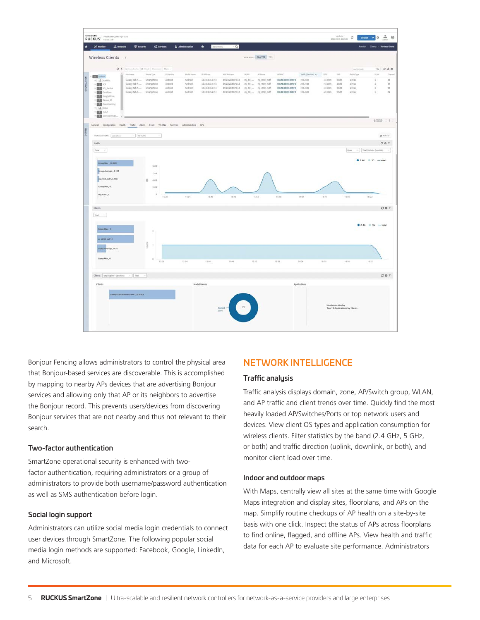

Bonjour Fencing allows administrators to control the physical area that Bonjour-based services are discoverable. This is accomplished by mapping to nearby APs devices that are advertising Bonjour services and allowing only that AP or its neighbors to advertise the Bonjour record. This prevents users/devices from discovering Bonjour services that are not nearby and thus not relevant to their search.

### Two-factor authentication

SmartZone operational security is enhanced with twofactor authentication, requiring administrators or a group of administrators to provide both username/password authentication as well as SMS authentication before login.

### Social login support

Administrators can utilize social media login credentials to connect user devices through SmartZone. The following popular social media login methods are supported: Facebook, Google, LinkedIn, and Microsoft.

# NETWORK INTELLIGENCE

#### Traffic analysis

Traffic analysis displays domain, zone, AP/Switch group, WLAN, and AP traffic and client trends over time. Quickly find the most heavily loaded AP/Switches/Ports or top network users and devices. View client OS types and application consumption for wireless clients. Filter statistics by the band (2.4 GHz, 5 GHz, or both) and traffic direction (uplink, downlink, or both), and monitor client load over time.

## Indoor and outdoor maps

With Maps, centrally view all sites at the same time with Google Maps integration and display sites, floorplans, and APs on the map. Simplify routine checkups of AP health on a site-by-site basis with one click. Inspect the status of APs across floorplans to find online, flagged, and offline APs. View health and traffic data for each AP to evaluate site performance. Administrators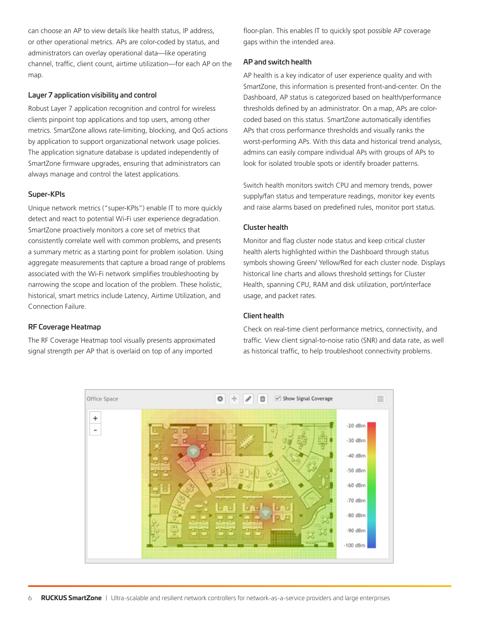can choose an AP to view details like health status, IP address, or other operational metrics. APs are color-coded by status, and administrators can overlay operational data—like operating channel, traffic, client count, airtime utilization—for each AP on the map.

# Layer 7 application visibility and control

Robust Layer 7 application recognition and control for wireless clients pinpoint top applications and top users, among other metrics. SmartZone allows rate-limiting, blocking, and QoS actions by application to support organizational network usage policies. The application signature database is updated independently of SmartZone firmware upgrades, ensuring that administrators can always manage and control the latest applications.

### Super-KPIs

Unique network metrics ("super-KPIs") enable IT to more quickly detect and react to potential Wi-Fi user experience degradation. SmartZone proactively monitors a core set of metrics that consistently correlate well with common problems, and presents a summary metric as a starting point for problem isolation. Using aggregate measurements that capture a broad range of problems associated with the Wi-Fi network simplifies troubleshooting by narrowing the scope and location of the problem. These holistic, historical, smart metrics include Latency, Airtime Utilization, and Connection Failure.

# RF Coverage Heatmap

The RF Coverage Heatmap tool visually presents approximated signal strength per AP that is overlaid on top of any imported

floor-plan. This enables IT to quickly spot possible AP coverage gaps within the intended area.

# AP and switch health

AP health is a key indicator of user experience quality and with SmartZone, this information is presented front-and-center. On the Dashboard, AP status is categorized based on health/performance thresholds defined by an administrator. On a map, APs are colorcoded based on this status. SmartZone automatically identifies APs that cross performance thresholds and visually ranks the worst-performing APs. With this data and historical trend analysis, admins can easily compare individual APs with groups of APs to look for isolated trouble spots or identify broader patterns.

Switch health monitors switch CPU and memory trends, power supply/fan status and temperature readings, monitor key events and raise alarms based on predefined rules, monitor port status.

# Cluster health

Monitor and flag cluster node status and keep critical cluster health alerts highlighted within the Dashboard through status symbols showing Green/ Yellow/Red for each cluster node. Displays historical line charts and allows threshold settings for Cluster Health, spanning CPU, RAM and disk utilization, port/interface usage, and packet rates.

# Client health

Check on real-time client performance metrics, connectivity, and traffic. View client signal-to-noise ratio (SNR) and data rate, as well as historical traffic, to help troubleshoot connectivity problems.

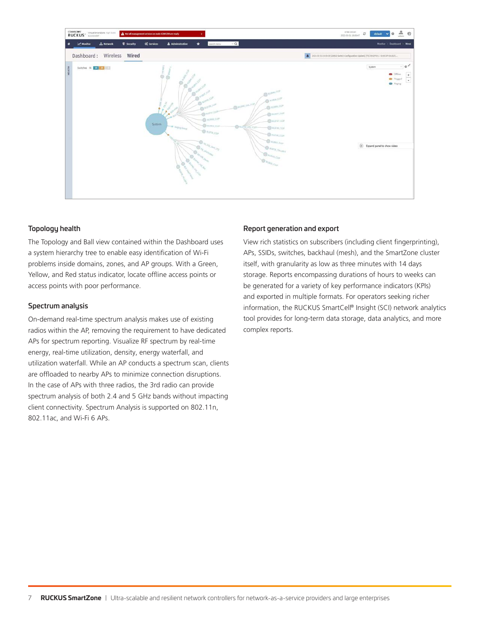

# Topology health

The Topology and Ball view contained within the Dashboard uses a system hierarchy tree to enable easy identification of Wi-Fi problems inside domains, zones, and AP groups. With a Green, Yellow, and Red status indicator, locate offline access points or access points with poor performance.

# Spectrum analysis

On-demand real-time spectrum analysis makes use of existing radios within the AP, removing the requirement to have dedicated APs for spectrum reporting. Visualize RF spectrum by real-time energy, real-time utilization, density, energy waterfall, and utilization waterfall. While an AP conducts a spectrum scan, clients are offloaded to nearby APs to minimize connection disruptions. In the case of APs with three radios, the 3rd radio can provide spectrum analysis of both 2.4 and 5 GHz bands without impacting client connectivity. Spectrum Analysis is supported on 802.11n, 802.11ac, and Wi-Fi 6 APs.

# Report generation and export

View rich statistics on subscribers (including client fingerprinting), APs, SSIDs, switches, backhaul (mesh), and the SmartZone cluster itself, with granularity as low as three minutes with 14 days storage. Reports encompassing durations of hours to weeks can be generated for a variety of key performance indicators (KPIs) and exported in multiple formats. For operators seeking richer information, the RUCKUS SmartCell® Insight (SCI) network analytics tool provides for long-term data storage, data analytics, and more complex reports.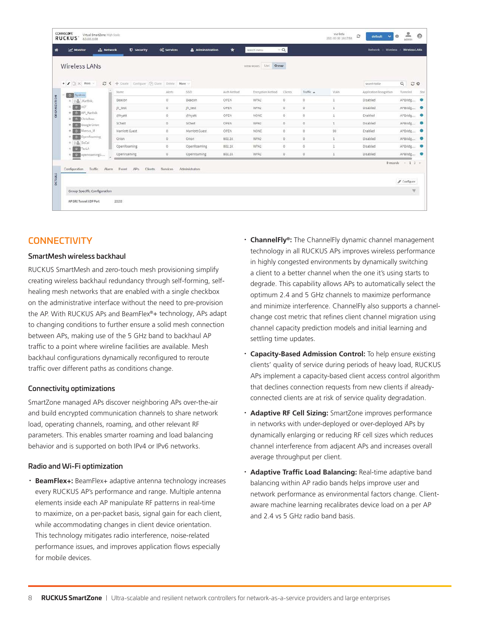| <b>Wireless LANs</b> |                                                                                   |                            |                                                                                                 |                |                                                 | search menu           | $\vee$ Q       |                   |      | <b>Network</b><br><b>Wireless</b> | <b>Wireless LANs</b>   |
|----------------------|-----------------------------------------------------------------------------------|----------------------------|-------------------------------------------------------------------------------------------------|----------------|-------------------------------------------------|-----------------------|----------------|-------------------|------|-----------------------------------|------------------------|
|                      |                                                                                   |                            |                                                                                                 |                |                                                 | VIEW MODE: List Group |                |                   |      |                                   |                        |
| + / I x More         |                                                                                   |                            |                                                                                                 |                |                                                 |                       |                |                   |      | search table                      | $\alpha$<br>$C$ $\Phi$ |
|                      |                                                                                   |                            | Alerts                                                                                          | ssin           | Airth Method                                    | Encryption Method     | <b>Clients</b> | Traffic +         | VEAN | Application Recognition           | Tunneled<br>Stat       |
| + Da Karthik.        |                                                                                   |                            | $\alpha$                                                                                        | Beacon         | OPEN                                            | WPA2                  | 0              | ö                 |      | Disabled                          | ۰<br>APBridg           |
| $+ 10$ ACF           |                                                                                   |                            | $\circ$                                                                                         | jh_test        | <b>OPEN</b>                                     | WPA2                  | $\alpha$       | $\omega$          | 1    | Disabled                          | APBridg<br><b>O</b>    |
|                      |                                                                                   |                            | $0$                                                                                             | @hyatt         | OPEN                                            | <b>NONE</b>           | $\circ$        | $\circ$           |      | Enabled                           | APBridg<br>$\bullet$   |
| Die Google Orion     |                                                                                   |                            | $\mathbb{O}$                                                                                    | SCtest         | OPEN                                            | WPA2                  | $\theta$       | $\circ$           | T    | Disabled                          | APBridg<br><b>O</b>    |
| + De Marcus M        |                                                                                   |                            | $\alpha$                                                                                        | Marriott Guest | OPEN.                                           | NONE                  | $\mathbf{0}$   | $\mathbf{0}$      | 99   | Enabled                           | APBridg<br>$\bullet$   |
| Dis OpenRoaming      |                                                                                   |                            | $\mathbb{Q}$                                                                                    | Orion          | 802.1X                                          | WPA2                  | $\mathbb{D}$   | $\mho$            | 1    | Disabled                          | APBridg<br>$\bullet$   |
| <b>ESPECTEVLA</b>    |                                                                                   |                            | $\mathbb{O}$                                                                                    | OpenRoaming    | 802.1X                                          | WPA2                  | $\mathbf{0}$   | $\ddot{\text{o}}$ |      | Disabled                          | APBridg<br>$\bullet$   |
| $\mathbf{D}$         |                                                                                   |                            | $\mathbb{O}$                                                                                    | Openroaming    | 802.1X                                          | WPA2                  | $\mathbb{Q}$   | $\,0\,$           | 1    | Disabled                          | APBridg<br>÷           |
|                      | D <sub>3</sub> System<br>D. API_Karthik<br>$+$ <b>DD</b> Chris Ross<br>+ DA SoCal | Name:<br>openroamingS<br>٠ | Beacon<br>jh_test<br>@hyatt<br>SCtest<br>Marriott Guest<br>Orion.<br>OpenRoaming<br>Openroaming |                | C < + Create Configure (21) Clone Delate More < |                       |                |                   |      |                                   | 9 records              |

# **CONNECTIVITY**

## SmartMesh wireless backhaul

RUCKUS SmartMesh and zero-touch mesh provisioning simplify creating wireless backhaul redundancy through self-forming, selfhealing mesh networks that are enabled with a single checkbox on the administrative interface without the need to pre-provision the AP. With RUCKUS APs and BeamFlex®+ technology, APs adapt to changing conditions to further ensure a solid mesh connection between APs, making use of the 5 GHz band to backhaul AP traffic to a point where wireline facilities are available. Mesh backhaul configurations dynamically reconfigured to reroute traffic over different paths as conditions change.

### Connectivity optimizations

SmartZone managed APs discover neighboring APs over-the-air and build encrypted communication channels to share network load, operating channels, roaming, and other relevant RF parameters. This enables smarter roaming and load balancing behavior and is supported on both IPv4 or IPv6 networks.

### Radio and Wi-Fi optimization

**BeamFlex+:** BeamFlex+ adaptive antenna technology increases every RUCKUS AP's performance and range. Multiple antenna elements inside each AP manipulate RF patterns in real-time to maximize, on a per-packet basis, signal gain for each client, while accommodating changes in client device orientation. This technology mitigates radio interference, noise-related performance issues, and improves application flows especially for mobile devices.

- · **ChannelFly®:** The ChannelFly dynamic channel management technology in all RUCKUS APs improves wireless performance in highly congested environments by dynamically switching a client to a better channel when the one it's using starts to degrade. This capability allows APs to automatically select the optimum 2.4 and 5 GHz channels to maximize performance and minimize interference. ChannelFly also supports a channelchange cost metric that refines client channel migration using channel capacity prediction models and initial learning and settling time updates.
- **Capacity-Based Admission Control:** To help ensure existing clients' quality of service during periods of heavy load, RUCKUS APs implement a capacity-based client access control algorithm that declines connection requests from new clients if alreadyconnected clients are at risk of service quality degradation.
- · **Adaptive RF Cell Sizing:** SmartZone improves performance in networks with under-deployed or over-deployed APs by dynamically enlarging or reducing RF cell sizes which reduces channel interference from adjacent APs and increases overall average throughput per client.
- · **Adaptive Traffic Load Balancing:** Real-time adaptive band balancing within AP radio bands helps improve user and network performance as environmental factors change. Clientaware machine learning recalibrates device load on a per AP and 2.4 vs 5 GHz radio band basis.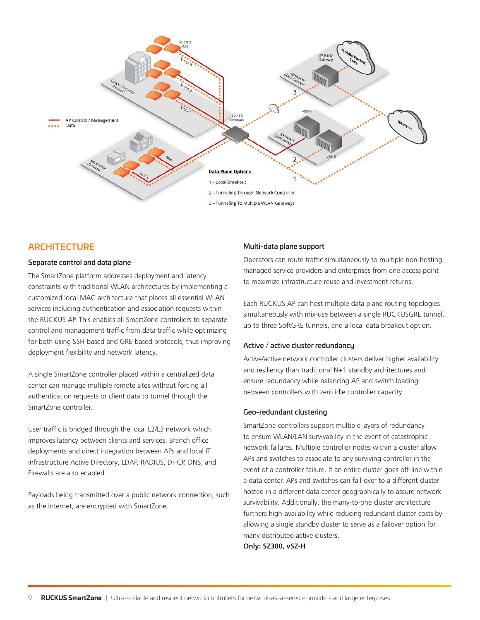

# **ARCHITECTURE**

#### Separate control and data plane

The SmartZone platform addresses deployment and latency constraints with traditional WLAN architectures by implementing a customized local MAC architecture that places all essential WLAN services including authentication and association requests within the RUCKUS AP. This enables all SmartZone controllers to separate control and management traffic from data traffic while optimizing for both using SSH-based and GRE-based protocols, thus improving deployment flexibility and network latency.

A single SmartZone controller placed within a centralized data center can manage multiple remote sites without forcing all authentication requests or client data to tunnel through the SmartZone controller.

User traffic is bridged through the local L2/L3 network which improves latency between clients and services. Branch office deployments and direct integration between APs and local IT infrastructure Active Directory, LDAP, RADIUS, DHCP, DNS, and Firewalls are also enabled.

Payloads being transmitted over a public network connection, such as the Internet, are encrypted with SmartZone.

#### Multi-data plane support

Operators can route traffic simultaneously to multiple non-hosting managed service providers and enterprises from one access point to maximize infrastructure reuse and investment returns.

Each RUCKUS AP can host multiple data plane routing topologies simultaneously with mix-use between a single RUCKUSGRE tunnel, up to three SoftGRE tunnels, and a local data breakout option.

# Active / active cluster redundancy

Active/active network controller clusters deliver higher availability and resiliency than traditional N+1 standby architectures and ensure redundancy while balancing AP and switch loading between controllers with zero idle controller capacity.

## Geo-redundant clustering

SmartZone controllers support multiple layers of redundancy to ensure WLAN/LAN survivability in the event of catastrophic network failures. Multiple controller nodes within a cluster allow APs and switches to associate to any surviving controller in the event of a controller failure. If an entire cluster goes off-line within a data center, APs and switches can fail-over to a different cluster hosted in a different data center geographically to assure network survivability. Additionally, the many-to-one cluster architecture furthers high-availability while reducing redundant cluster costs by allowing a single standby cluster to serve as a failover option for many distributed active clusters.

**Only: SZ300, vSZ-H**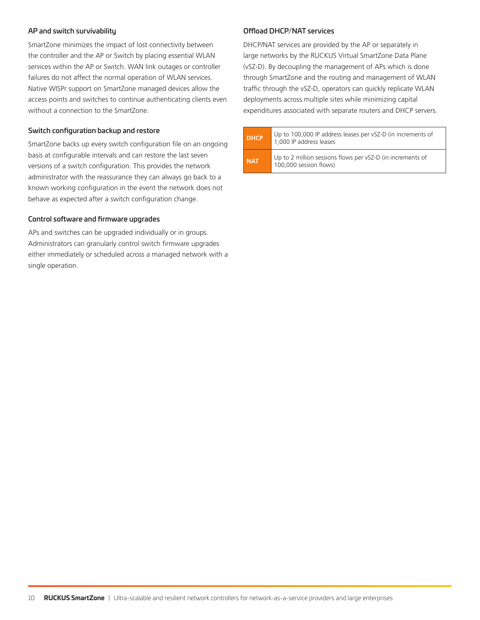## AP and switch survivability

SmartZone minimizes the impact of lost connectivity between the controller and the AP or Switch by placing essential WLAN services within the AP or Switch. WAN link outages or controller failures do not affect the normal operation of WLAN services. Native WISPr support on SmartZone managed devices allow the access points and switches to continue authenticating clients even without a connection to the SmartZone.

# Switch configuration backup and restore

SmartZone backs up every switch configuration file on an ongoing basis at configurable intervals and can restore the last seven versions of a switch configuration. This provides the network administrator with the reassurance they can always go back to a known working configuration in the event the network does not behave as expected after a switch configuration change.

## Control software and firmware upgrades

APs and switches can be upgraded individually or in groups. Administrators can granularly control switch firmware upgrades either immediately or scheduled across a managed network with a single operation.

## Offload DHCP/NAT services

DHCP/NAT services are provided by the AP or separately in large networks by the RUCKUS Virtual SmartZone Data Plane (vSZ-D). By decoupling the management of APs which is done through SmartZone and the routing and management of WLAN traffic through the vSZ-D, operators can quickly replicate WLAN deployments across multiple sites while minimizing capital expenditures associated with separate routers and DHCP servers.

**DHCP** Up to 100,000 IP address leases per vSZ-D (in increments of 1,000 IP address leases **NAT** Up to 2 million sessions flows per vSZ-D (in increments of 100,000 session flows)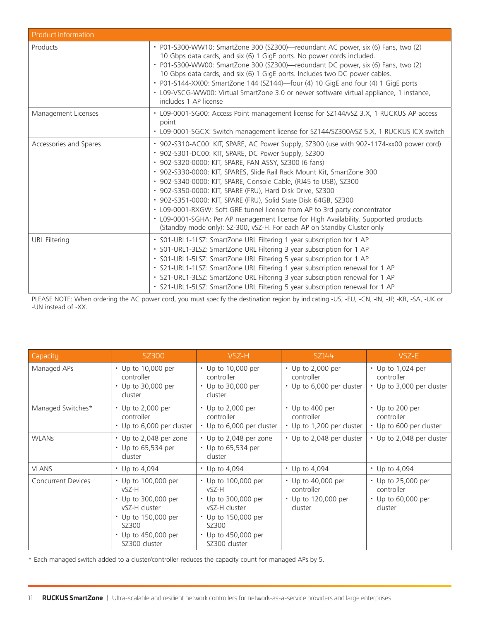| Product information    |                                                                                                                                                                                                                                                                                                                                                                                                                                                                                                                                                                                                                                                                                                                                        |
|------------------------|----------------------------------------------------------------------------------------------------------------------------------------------------------------------------------------------------------------------------------------------------------------------------------------------------------------------------------------------------------------------------------------------------------------------------------------------------------------------------------------------------------------------------------------------------------------------------------------------------------------------------------------------------------------------------------------------------------------------------------------|
| Products               | · P01-S300-WW10: SmartZone 300 (SZ300)—redundant AC power, six (6) Fans, two (2)<br>10 Gbps data cards, and six (6) 1 GigE ports. No power cords included.<br>· P01-S300-WW00: SmartZone 300 (SZ300)—redundant DC power, six (6) Fans, two (2)<br>10 Gbps data cards, and six (6) 1 GigE ports. Includes two DC power cables.<br>• P01-S144-XX00: SmartZone 144 (SZ144)—four (4) 10 GigE and four (4) 1 GigE ports<br>• L09-VSCG-WW00: Virtual SmartZone 3.0 or newer software virtual appliance, 1 instance,<br>includes 1 AP license                                                                                                                                                                                                 |
| Management Licenses    | · L09-0001-SG00: Access Point management license for SZ144/vSZ 3.X, 1 RUCKUS AP access<br>point<br>• L09-0001-SGCX: Switch management license for SZ144/SZ300/vSZ 5.X, 1 RUCKUS ICX switch                                                                                                                                                                                                                                                                                                                                                                                                                                                                                                                                             |
| Accessories and Spares | · 902-S310-AC00: KIT, SPARE, AC Power Supply, SZ300 (use with 902-1174-xx00 power cord)<br>· 902-S301-DC00: KIT, SPARE, DC Power Supply, SZ300<br>• 902-S320-0000: KIT, SPARE, FAN ASSY, SZ300 (6 fans)<br>· 902-S330-0000: KIT, SPARES, Slide Rail Rack Mount Kit, SmartZone 300<br>· 902-S340-0000: KIT, SPARE, Console Cable, (RJ45 to USB), SZ300<br>• 902-S350-0000: KIT, SPARE (FRU), Hard Disk Drive, SZ300<br>· 902-S351-0000: KIT, SPARE (FRU), Solid State Disk 64GB, SZ300<br>• L09-0001-RXGW: Soft GRE tunnel license from AP to 3rd party concentrator<br>• L09-0001-SGHA: Per AP management license for High Availability. Supported products<br>(Standby mode only): SZ-300, vSZ-H. For each AP on Standby Cluster only |
| <b>URL Filtering</b>   | · S01-URL1-1LSZ: SmartZone URL Filtering 1 year subscription for 1 AP<br>· S01-URL1-3LSZ: SmartZone URL Filtering 3 year subscription for 1 AP<br>· S01-URL1-5LSZ: SmartZone URL Filtering 5 year subscription for 1 AP<br>· S21-URL1-1LSZ: SmartZone URL Filtering 1 year subscription renewal for 1 AP<br>· S21-URL1-3LSZ: SmartZone URL Filtering 3 year subscription renewal for 1 AP<br>· S21-URL1-5LSZ: SmartZone URL Filtering 5 year subscription renewal for 1 AP                                                                                                                                                                                                                                                             |

PLEASE NOTE: When ordering the AC power cord, you must specify the destination region by indicating -US, -EU, -CN, -IN, -JP, -KR, -SA, -UK or -UN instead of -XX.

| Capacity                  | SZ300                                                                                                                                        | VSZ-H                                                                                                                                        | SZ144                                                                    | VSZ-E                                                                   |
|---------------------------|----------------------------------------------------------------------------------------------------------------------------------------------|----------------------------------------------------------------------------------------------------------------------------------------------|--------------------------------------------------------------------------|-------------------------------------------------------------------------|
| Managed APs               | • Up to 10,000 per<br>controller<br>$\cdot$ Up to 30,000 per<br>cluster                                                                      | • Up to 10,000 per<br>controller<br>• Up to 30,000 per<br>cluster                                                                            | $\cdot$ Up to 2,000 per<br>controller<br>• Up to 6,000 per cluster       | $\cdot$ Up to 1,024 per<br>controller<br>• Up to 3,000 per cluster      |
| Managed Switches*         | $\cdot$ Up to 2,000 per<br>controller<br>• Up to 6,000 per cluster                                                                           | $\cdot$ Up to 2,000 per<br>controller<br>• Up to 6,000 per cluster                                                                           | $\cdot$ Up to 400 per<br>controller<br>• Up to 1,200 per cluster         | $\cdot$ Up to 200 per<br>controller<br>• Up to 600 per cluster          |
| <b>WLANS</b>              | • Up to 2,048 per zone<br>• Up to 65,534 per<br>cluster                                                                                      | • Up to 2,048 per zone<br>$\cdot$ Up to 65,534 per<br>cluster                                                                                | • Up to 2,048 per cluster                                                | • Up to 2,048 per cluster                                               |
| <b>VLANS</b>              | $\cdot$ Up to 4,094                                                                                                                          | $\cdot$ Up to 4,094                                                                                                                          | $\cdot$ Up to 4,094                                                      | $\cdot$ Up to 4,094                                                     |
| <b>Concurrent Devices</b> | • Up to 100,000 per<br>vSZ-H<br>• Up to 300,000 per<br>vSZ-H cluster<br>• Up to 150,000 per<br>SZ300<br>• Up to 450,000 per<br>SZ300 cluster | • Up to 100,000 per<br>vSZ-H<br>• Up to 300,000 per<br>vSZ-H cluster<br>• Up to 150,000 per<br>SZ300<br>• Up to 450,000 per<br>SZ300 cluster | $\cdot$ Up to 40,000 per<br>controller<br>• Up to 120,000 per<br>cluster | • Up to 25,000 per<br>controller<br>$\cdot$ Up to 60,000 per<br>cluster |

\* Each managed switch added to a cluster/controller reduces the capacity count for managed APs by 5.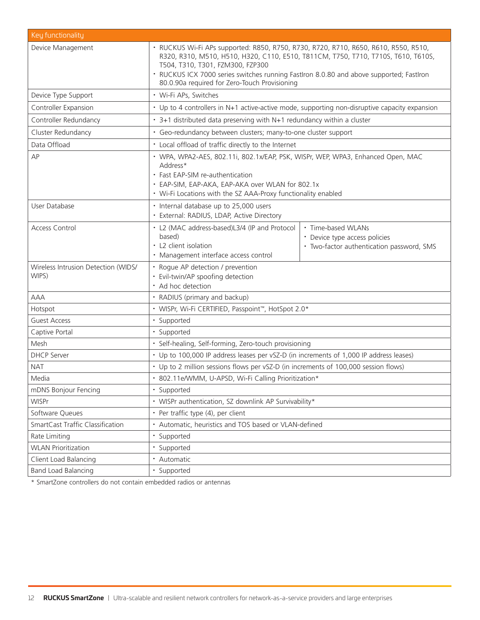| Key functionality                            |                                                                                                                                                                                                                                                                                                                                                          |                                                                                                  |  |  |  |
|----------------------------------------------|----------------------------------------------------------------------------------------------------------------------------------------------------------------------------------------------------------------------------------------------------------------------------------------------------------------------------------------------------------|--------------------------------------------------------------------------------------------------|--|--|--|
| Device Management                            | · RUCKUS Wi-Fi APs supported: R850, R750, R730, R720, R710, R650, R610, R550, R510,<br>R320, R310, M510, H510, H320, C110, E510, T811CM, T750, T710, T710S, T610, T610S,<br>T504, T310, T301, FZM300, FZP300<br>· RUCKUS ICX 7000 series switches running FastIron 8.0.80 and above supported; FastIron<br>80.0.90a required for Zero-Touch Provisioning |                                                                                                  |  |  |  |
| Device Type Support                          | · Wi-Fi APs, Switches                                                                                                                                                                                                                                                                                                                                    |                                                                                                  |  |  |  |
| Controller Expansion                         | • Up to 4 controllers in N+1 active-active mode, supporting non-disruptive capacity expansion                                                                                                                                                                                                                                                            |                                                                                                  |  |  |  |
| Controller Redundancy                        | • 3+1 distributed data preserving with N+1 redundancy within a cluster                                                                                                                                                                                                                                                                                   |                                                                                                  |  |  |  |
| Cluster Redundancy                           | · Geo-redundancy between clusters; many-to-one cluster support                                                                                                                                                                                                                                                                                           |                                                                                                  |  |  |  |
| Data Offload                                 | • Local offload of traffic directly to the Internet                                                                                                                                                                                                                                                                                                      |                                                                                                  |  |  |  |
| AP                                           | · WPA, WPA2-AES, 802.11i, 802.1x/EAP, PSK, WISPr, WEP, WPA3, Enhanced Open, MAC<br>Address*<br>• Fast EAP-SIM re-authentication<br>• EAP-SIM, EAP-AKA, EAP-AKA over WLAN for 802.1x<br>• Wi-Fi Locations with the SZ AAA-Proxy functionality enabled                                                                                                     |                                                                                                  |  |  |  |
| User Database                                | • Internal database up to 25,000 users<br>· External: RADIUS, LDAP, Active Directory                                                                                                                                                                                                                                                                     |                                                                                                  |  |  |  |
| <b>Access Control</b>                        | • L2 (MAC address-based)L3/4 (IP and Protocol<br>based)<br>• L2 client isolation<br>· Management interface access control                                                                                                                                                                                                                                | · Time-based WLANs<br>• Device type access policies<br>· Two-factor authentication password, SMS |  |  |  |
| Wireless Intrusion Detection (WIDS/<br>WIPS) | • Rogue AP detection / prevention<br>· Evil-twin/AP spoofing detection<br>• Ad hoc detection                                                                                                                                                                                                                                                             |                                                                                                  |  |  |  |
| <b>AAA</b>                                   | • RADIUS (primary and backup)                                                                                                                                                                                                                                                                                                                            |                                                                                                  |  |  |  |
| Hotspot                                      | • WISPr, Wi-Fi CERTIFIED, Passpoint <sup>™</sup> , HotSpot 2.0*                                                                                                                                                                                                                                                                                          |                                                                                                  |  |  |  |
| <b>Guest Access</b>                          | · Supported                                                                                                                                                                                                                                                                                                                                              |                                                                                                  |  |  |  |
| Captive Portal                               | · Supported                                                                                                                                                                                                                                                                                                                                              |                                                                                                  |  |  |  |
| Mesh                                         | · Self-healing, Self-forming, Zero-touch provisioning                                                                                                                                                                                                                                                                                                    |                                                                                                  |  |  |  |
| <b>DHCP</b> Server                           | • Up to 100,000 IP address leases per vSZ-D (in increments of 1,000 IP address leases)                                                                                                                                                                                                                                                                   |                                                                                                  |  |  |  |
| <b>NAT</b>                                   | • Up to 2 million sessions flows per vSZ-D (in increments of 100,000 session flows)                                                                                                                                                                                                                                                                      |                                                                                                  |  |  |  |
| Media                                        | · 802.11e/WMM, U-APSD, Wi-Fi Calling Prioritization*                                                                                                                                                                                                                                                                                                     |                                                                                                  |  |  |  |
| mDNS Bonjour Fencing                         | · Supported                                                                                                                                                                                                                                                                                                                                              |                                                                                                  |  |  |  |
| <b>WISPr</b>                                 | • WISPr authentication, SZ downlink AP Survivability*                                                                                                                                                                                                                                                                                                    |                                                                                                  |  |  |  |
| Software Queues                              | • Per traffic type (4), per client                                                                                                                                                                                                                                                                                                                       |                                                                                                  |  |  |  |
| SmartCast Traffic Classification             | Automatic, heuristics and TOS based or VLAN-defined                                                                                                                                                                                                                                                                                                      |                                                                                                  |  |  |  |
| Rate Limiting                                | · Supported                                                                                                                                                                                                                                                                                                                                              |                                                                                                  |  |  |  |
| <b>WLAN Prioritization</b>                   | · Supported                                                                                                                                                                                                                                                                                                                                              |                                                                                                  |  |  |  |
| Client Load Balancing                        | • Automatic                                                                                                                                                                                                                                                                                                                                              |                                                                                                  |  |  |  |
| <b>Band Load Balancing</b>                   | · Supported                                                                                                                                                                                                                                                                                                                                              |                                                                                                  |  |  |  |

\* SmartZone controllers do not contain embedded radios or antennas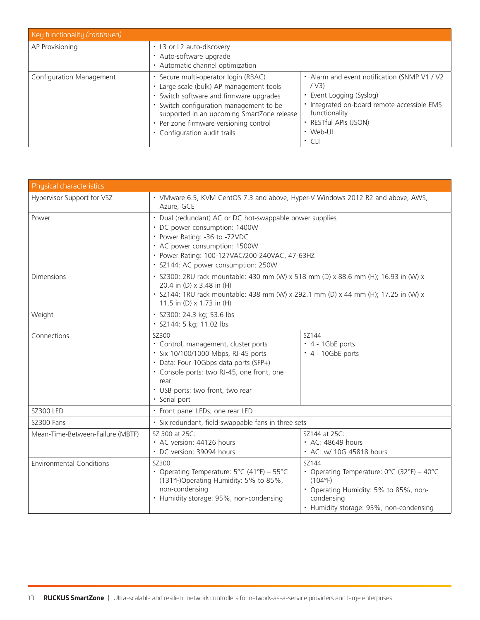| Key functionality (continued) |                                                                                                                                                                                                                                                                                              |                                                                                                                                                                                                       |
|-------------------------------|----------------------------------------------------------------------------------------------------------------------------------------------------------------------------------------------------------------------------------------------------------------------------------------------|-------------------------------------------------------------------------------------------------------------------------------------------------------------------------------------------------------|
| AP Provisioning               | • L3 or L2 auto-discovery<br>• Auto-software upgrade<br>• Automatic channel optimization                                                                                                                                                                                                     |                                                                                                                                                                                                       |
| Configuration Management      | · Secure multi-operator login (RBAC)<br>Large scale (bulk) AP management tools<br>• Switch software and firmware upgrades<br>• Switch configuration management to be<br>supported in an upcoming SmartZone release<br>• Per zone firmware versioning control<br>• Configuration audit trails | • Alarm and event notification (SNMP V1 / V2<br>/ V3)<br>• Event Logging (Syslog)<br>· Integrated on-board remote accessible EMS<br>functionality<br>• RESTful APIs (JSON)<br>• Web-UI<br>$\cdot$ CLI |

| Physical characteristics         |                                                                                                                                                                                                                                                      |                                                                                                                                                                  |  |  |
|----------------------------------|------------------------------------------------------------------------------------------------------------------------------------------------------------------------------------------------------------------------------------------------------|------------------------------------------------------------------------------------------------------------------------------------------------------------------|--|--|
| Hypervisor Support for VSZ       | • VMware 6.5, KVM CentOS 7.3 and above, Hyper-V Windows 2012 R2 and above, AWS,<br>Azure, GCE                                                                                                                                                        |                                                                                                                                                                  |  |  |
| Power                            | • Dual (redundant) AC or DC hot-swappable power supplies<br>• DC power consumption: 1400W<br>• Power Rating: -36 to -72VDC<br>• AC power consumption: 1500W<br>· Power Rating: 100-127VAC/200-240VAC, 47-63HZ<br>· SZ144: AC power consumption: 250W |                                                                                                                                                                  |  |  |
| <b>Dimensions</b>                | · SZ300: 2RU rack mountable: 430 mm (W) x 518 mm (D) x 88.6 mm (H); 16.93 in (W) x<br>20.4 in (D) x 3.48 in (H)<br>· SZ144: 1RU rack mountable: 438 mm (W) x 292.1 mm (D) x 44 mm (H); 17.25 in (W) x<br>11.5 in (D) x 1.73 in (H)                   |                                                                                                                                                                  |  |  |
| Weight                           | · SZ300: 24.3 kg; 53.6 lbs<br>· SZ144: 5 kg; 11.02 lbs                                                                                                                                                                                               |                                                                                                                                                                  |  |  |
| Connections                      | SZ300<br>· Control, management, cluster ports<br>· Six 10/100/1000 Mbps, RJ-45 ports<br>• Data: Four 10Gbps data ports (SFP+)<br>· Console ports: two RJ-45, one front, one<br>rear<br>· USB ports: two front, two rear<br>· Serial port             | SZ144<br>$\cdot$ 4 - 1GbE ports<br>$\cdot$ 4 - 10GbE ports                                                                                                       |  |  |
| <b>SZ300 LED</b>                 | • Front panel LEDs, one rear LED                                                                                                                                                                                                                     |                                                                                                                                                                  |  |  |
| SZ300 Fans                       | · Six redundant, field-swappable fans in three sets                                                                                                                                                                                                  |                                                                                                                                                                  |  |  |
| Mean-Time-Between-Failure (MBTF) | SZ 300 at 25C:<br>• AC version: 44126 hours<br>• DC version: 39094 hours                                                                                                                                                                             | SZ144 at 25C:<br>• AC: 48649 hours<br>• AC: w/ 10G 45818 hours                                                                                                   |  |  |
| <b>Environmental Conditions</b>  | SZ300<br>• Operating Temperature: $5^{\circ}$ C (41°F) – 55°C<br>(131°F)Operating Humidity: 5% to 85%,<br>non-condensing<br>• Humidity storage: 95%, non-condensing                                                                                  | SZ144<br>• Operating Temperature: 0°C (32°F) - 40°C<br>(104°F)<br>• Operating Humidity: 5% to 85%, non-<br>condensing<br>• Humidity storage: 95%, non-condensing |  |  |